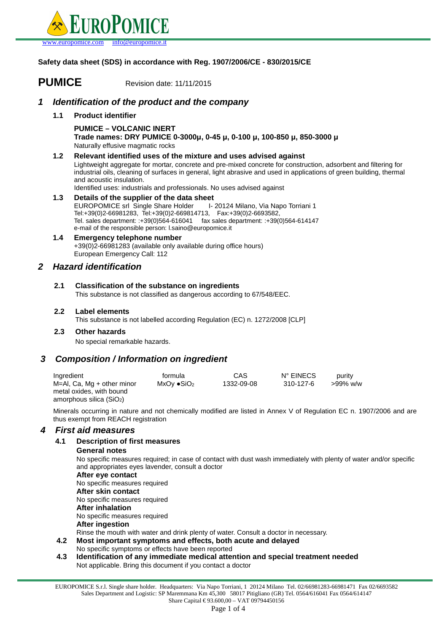

**Safety data sheet (SDS) in accordance with Reg. 1907/2006/CE - 830/2015/CE**

# **PUMICE** Revision date: 11/11/2015

# **1 Identification of the product and the company**

**1.1 Product identifier**

**PUMICE – VOLCANIC INERT Trade names: DRY PUMICE 0-3000µ, 0-45 µ, 0-100 µ, 100-850 µ, 850-3000 µ** Naturally effusive magmatic rocks

#### **1.2 Relevant identified uses of the mixture and uses advised against**

Lightweight aggregate for mortar, concrete and pre-mixed concrete for construction, adsorbent and filtering for industrial oils, cleaning of surfaces in general, light abrasive and used in applications of green building, thermal and acoustic insulation.

Identified uses: industrials and professionals. No uses advised against

**1.3 Details of the supplier of the data sheet** EUROPOMICE srl Single Share Holder I- 20124 Milano, Via Napo Torriani 1 Tel:+39(0)2-66981283, Tel:+39(0)2-669814713, Fax:+39(0)2-6693582, Tel. sales department: :+39(0)564-616041 fax sales department: :+39(0)564-614147 e-mail of the responsible person: l.saino@europomice.it

#### **1.4 Emergency telephone number** +39(0)2-66981283 (available only available during office hours) European Emergency Call: 112

# **2 Hazard identification**

# **2.1 Classification of the substance on ingredients**

This substance is not classified as dangerous according to 67/548/EEC.

#### **2.2 Label elements**

This substance is not labelled according Regulation (EC) n. 1272/2008 [CLP]

# **2.3 Other hazards**

No special remarkable hazards.

# **3 Composition / Information on ingredient**

| Ingredient                   | formula                | CAS.       | N° EINECS | purity   |
|------------------------------|------------------------|------------|-----------|----------|
| $M=AI, Ca, Mg + other minor$ | MxOv ●SiO <sub>2</sub> | 1332-09-08 | 310-127-6 | >99% w/w |
| metal oxides, with bound     |                        |            |           |          |
| amorphous silica $(SiO2)$    |                        |            |           |          |

Minerals occurring in nature and not chemically modified are listed in Annex V of Regulation EC n. 1907/2006 and are thus exempt from REACH registration

# **4 First aid measures**

# **4.1 Description of first measures**

#### **General notes**

No specific measures required; in case of contact with dust wash immediately with plenty of water and/or specific and appropriates eyes lavender, consult a doctor

- **After eye contact** No specific measures required
- **After skin contact**
- No specific measures required

# **After inhalation**

No specific measures required

# **After ingestion**

Rinse the mouth with water and drink plenty of water. Consult a doctor in necessary.

- **4.2 Most important symptoms and effects, both acute and delayed** No specific symptoms or effects have been reported
- **4.3 Identification of any immediate medical attention and special treatment needed** Not applicable. Bring this document if you contact a doctor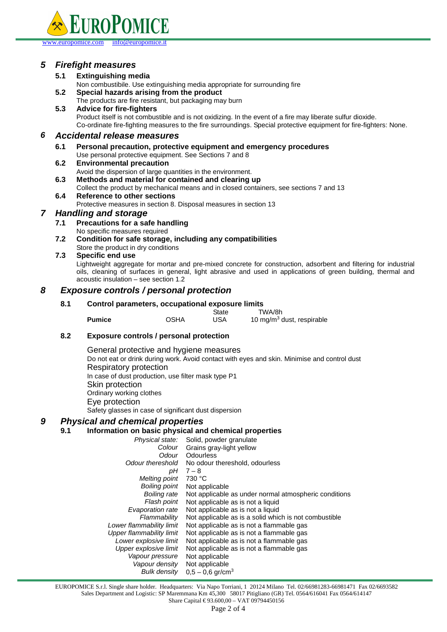

#### www.europomice.com

# **5 Firefight measures**

#### **5.1 Extinguishing media**

- Non combustibile. Use extinguishing media appropriate for surrounding fire
- **5.2 Special hazards arising from the product**
- The products are fire resistant, but packaging may burn **5.3 Advice for fire-fighters** Product itself is not combustible and is not oxidizing. In the event of a fire may liberate sulfur dioxide. Co-ordinate fire-fighting measures to the fire surroundings. Special protective equipment for fire-fighters: None.

# **6 Accidental release measures**

- **6.1 Personal precaution, protective equipment and emergency procedures** Use personal protective equipment. See Sections 7 and 8
- **6.2 Environmental precaution**

Avoid the dispersion of large quantities in the environment.

- **6.3 Methods and material for contained and clearing up**
	- Collect the product by mechanical means and in closed containers, see sections 7 and 13
- **6.4 Reference to other sections** Protective measures in section 8. Disposal measures in section 13

# **7 Handling and storage**

- **7.1 Precautions for a safe handling** No specific measures required
- **7.2 Condition for safe storage, including any compatibilities** Store the product in dry conditions

#### **7.3 Specific end use**

Lightweight aggregate for mortar and pre-mixed concrete for construction, adsorbent and filtering for industrial oils, cleaning of surfaces in general, light abrasive and used in applications of green building, thermal and acoustic insulation – see section 1.2

# **8 Exposure controls / personal protection**

#### **8.1 Control parameters, occupational exposure limits**

|               |             | State | TWA/8h                                |
|---------------|-------------|-------|---------------------------------------|
| <b>Pumice</b> | <b>OSHA</b> | USA   | 10 mg/m <sup>3</sup> dust, respirable |

#### **8.2 Exposure controls / personal protection**

 General protective and hygiene measures Do not eat or drink during work. Avoid contact with eyes and skin. Minimise and control dust Respiratory protection In case of dust production, use filter mask type P1 Skin protection Ordinary working clothes Eye protection Safety glasses in case of significant dust dispersion

# **9 Physical and chemical properties**

# **9.1 Information on basic physical and chemical properties**

Physical state: Solid, powder granulate Colour **Odour** Odour thereshold pH Grains gray-light yellow **Odourless** No odour thereshold, odourless  $7 - 8$ Melting point Boiling point Boiling rate Flash point Evaporation rate **Flammability** Lower flammability limit Upper flammability limit Lower explosive limit Upper explosive limit Vapour pressure Vapour density Bulk density 730 °C Not applicable Not applicable as under normal atmospheric conditions Not applicable as is not a liquid Not applicable as is not a liquid Not applicable as is a solid which is not combustible Not applicable as is not a flammable gas Not applicable as is not a flammable gas Not applicable as is not a flammable gas Not applicable as is not a flammable gas Not applicable Not applicable  $0,5 - 0,6$  gr/cm<sup>3</sup>

EUROPOMICE S.r.l. Single share holder. Headquarters: Via Napo Torriani, 1 20124 Milano Tel. 02/66981283-66981471 Fax 02/6693582 Sales Department and Logistic: SP Maremmana Km 45,300 58017 Pitigliano (GR) Tel. 0564/616041 Fax 0564/614147 Share Capital € 93.600,00 – VAT 09794450156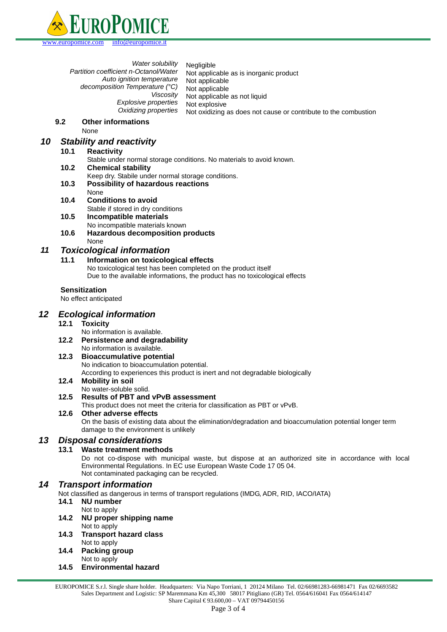

Water solubility Partition coefficient n-Octanol/Water Auto ignition temperature decomposition Temperature (°C) Viscosity Explosive properties Oxidizing properties Negligible Not applicable as is inorganic product Not applicable Not applicable Not applicable as not liquid Not explosive Not oxidizing as does not cause or contribute to the combustion

#### **9.2 Other informations**

None

# **10 Stability and reactivity**

- **10.1 Reactivity**
- Stable under normal storage conditions. No materials to avoid known.
- **10.2 Chemical stability**

Keep dry. Stabile under normal storage conditions.

- **10.3 Possibility of hazardous reactions** None
- **10.4 Conditions to avoid** Stable if stored in dry conditions
- **10.5 Incompatible materials**
	- No incompatible materials known
- **10.6 Hazardous decomposition products** None

# **11 Toxicological information**

#### **11.1 Information on toxicological effects**

No toxicological test has been completed on the product itself Due to the available informations, the product has no toxicological effects

# **Sensitization**

No effect anticipated

# **12 Ecological information**

# **12.1 Toxicity**

No information is available.

**12.2 Persistence and degradability**

# No information is available.

# **12.3 Bioaccumulative potential**

No indication to bioaccumulation potential.

According to experiences this product is inert and not degradable biologically

# **12.4 Mobility in soil**

No water-soluble solid.

# **12.5 Results of PBT and vPvB assessment**

This product does not meet the criteria for classification as PBT or vPvB.

#### **12.6 Other adverse effects**

On the basis of existing data about the elimination/degradation and bioaccumulation potential longer term damage to the environment is unlikely

# **13 Disposal considerations**

# **13.1 Waste treatment methods**

Do not co-dispose with municipal waste, but dispose at an authorized site in accordance with local Environmental Regulations. In EC use European Waste Code 17 05 04. Not contaminated packaging can be recycled.

# **14 Transport information**

Not classified as dangerous in terms of transport regulations (IMDG, ADR, RID, IACO/IATA)

- **14.1 NU number**
- Not to apply
- **14.2 NU proper shipping name** Not to apply
- **14.3 Transport hazard class** Not to apply
- **14.4 Packing group** Not to apply
- **14.5 Environmental hazard**